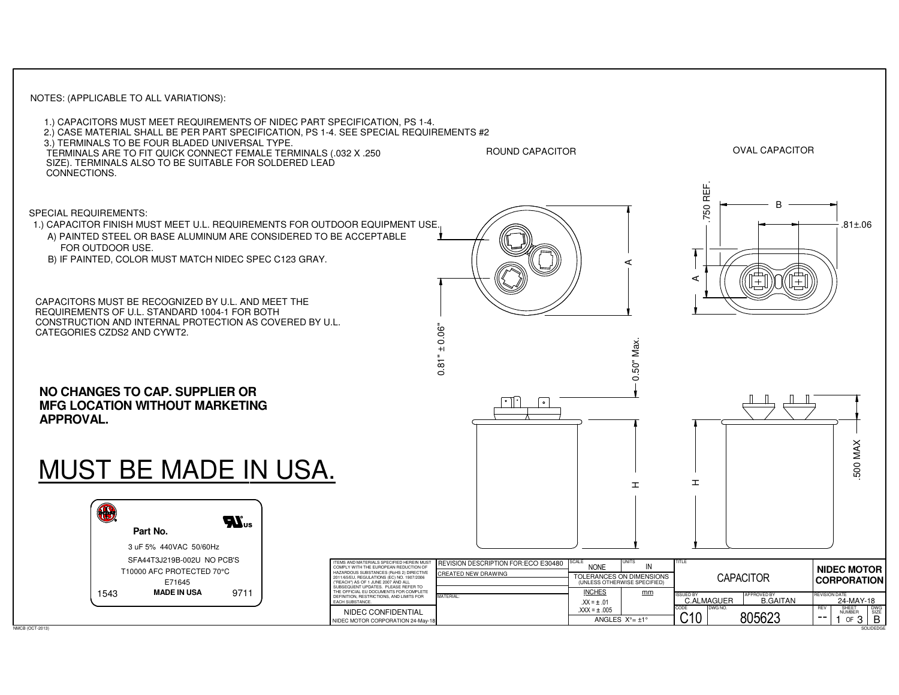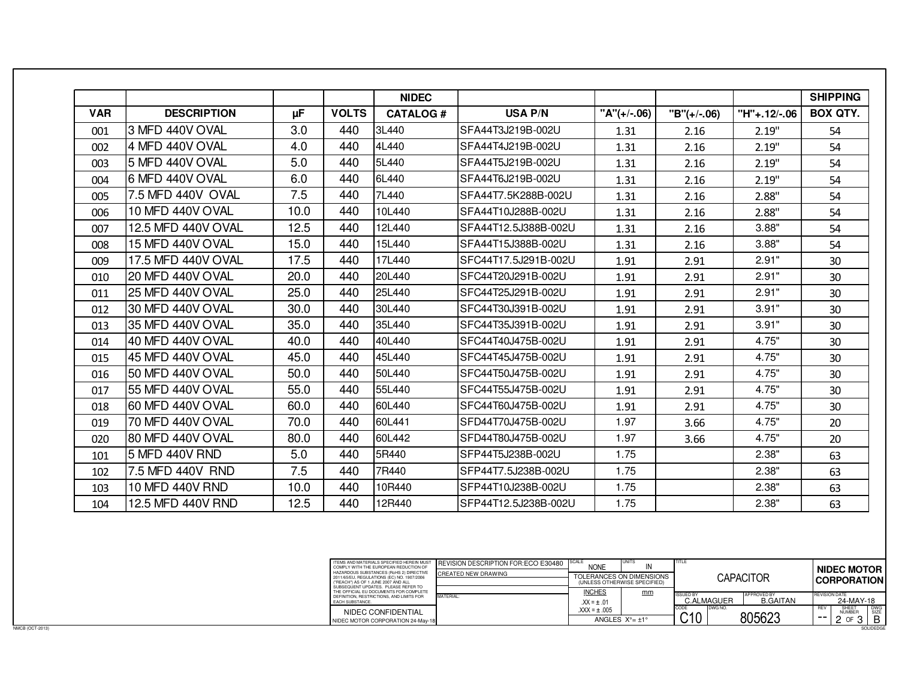|            |                         |      |              | <b>NIDEC</b>    |                       |               |             |              | <b>SHIPPING</b> |
|------------|-------------------------|------|--------------|-----------------|-----------------------|---------------|-------------|--------------|-----------------|
| <b>VAR</b> | <b>DESCRIPTION</b>      | μF   | <b>VOLTS</b> | <b>CATALOG#</b> | <b>USA P/N</b>        | $"A"(+/-.06)$ | "B"(+/-.06) | "H"+.12/-.06 | <b>BOX QTY.</b> |
| 001        | 3 MFD 440V OVAL         | 3.0  | 440          | 3L440           | ISFA44T3J219B-002U    | 1.31          | 2.16        | 2.19"        | 54              |
| 002        | 4 MFD 440V OVAL         | 4.0  | 440          | 4L440           | ISFA44T4J219B-002U    | 1.31          | 2.16        | 2.19"        | 54              |
| 003        | l5 MFD 440V OVAL        | 5.0  | 440          | 5L440           | ISFA44T5J219B-002U    | 1.31          | 2.16        | 2.19"        | 54              |
| 004        | I6 MFD 440V OVAL        | 6.0  | 440          | 6L440           | ISFA44T6J219B-002U    | 1.31          | 2.16        | 2.19"        | 54              |
| 005        | 7.5 MFD 440V OVAL       | 7.5  | 440          | 7L440           | ISFA44T7.5K288B-002U  | 1.31          | 2.16        | 2.88"        | 54              |
| 006        | 10 MFD 440V OVAL        | 10.0 | 440          | 10L440          | SFA44T10J288B-002U    | 1.31          | 2.16        | 2.88"        | 54              |
| 007        | 12.5 MFD 440V OVAL      | 12.5 | 440          | 12L440          | ISFA44T12.5J388B-002U | 1.31          | 2.16        | 3.88"        | 54              |
| 008        | 15 MFD 440V OVAL        | 15.0 | 440          | 15L440          | SFA44T15J388B-002U    | 1.31          | 2.16        | 3.88"        | 54              |
| 009        | 17.5 MFD 440V OVAL      | 17.5 | 440          | 17L440          | ISFC44T17.5J291B-002U | 1.91          | 2.91        | 2.91"        | 30              |
| 010        | <b>20 MFD 440V OVAL</b> | 20.0 | 440          | 20L440          | SFC44T20J291B-002U    | 1.91          | 2.91        | 2.91"        | 30              |
| 011        | <b>25 MFD 440V OVAL</b> | 25.0 | 440          | 25L440          | ISFC44T25J291B-002U   | 1.91          | 2.91        | 2.91"        | 30              |
| 012        | 30 MFD 440V OVAL        | 30.0 | 440          | 30L440          | ISFC44T30J391B-002U   | 1.91          | 2.91        | 3.91"        | 30              |
| 013        | 35 MFD 440V OVAL        | 35.0 | 440          | 35L440          | ISFC44T35J391B-002U   | 1.91          | 2.91        | 3.91"        | 30              |
| 014        | 40 MFD 440V OVAL        | 40.0 | 440          | 40L440          | ISFC44T40J475B-002U   | 1.91          | 2.91        | 4.75"        | 30              |
| 015        | 45 MFD 440V OVAL        | 45.0 | 440          | 45L440          | ISFC44T45J475B-002U   | 1.91          | 2.91        | 4.75"        | 30              |
| 016        | 50 MFD 440V OVAL        | 50.0 | 440          | 50L440          | ISFC44T50J475B-002U   | 1.91          | 2.91        | 4.75"        | 30              |
| 017        | 55 MFD 440V OVAL        | 55.0 | 440          | 55L440          | ISFC44T55J475B-002U   | 1.91          | 2.91        | 4.75"        | 30              |
| 018        | 60 MFD 440V OVAL        | 60.0 | 440          | 60L440          | SFC44T60J475B-002U    | 1.91          | 2.91        | 4.75"        | 30              |
| 019        | 70 MFD 440V OVAL        | 70.0 | 440          | 60L441          | SFD44T70J475B-002U    | 1.97          | 3.66        | 4.75"        | 20              |
| 020        | I80 MFD 440V OVAL       | 80.0 | 440          | 60L442          | ISFD44T80J475B-002U   | 1.97          | 3.66        | 4.75"        | 20              |
| 101        | l5 MFD 440V RND         | 5.0  | 440          | 5R440           | ISFP44T5J238B-002U    | 1.75          |             | 2.38"        | 63              |
| 102        | 7.5 MFD 440V RND        | 7.5  | 440          | 7R440           | ISFP44T7.5J238B-002U  | 1.75          |             | 2.38"        | 63              |
| 103        | 10 MFD 440V RND         | 10.0 | 440          | 10R440          | ISFP44T10J238B-002U   | 1.75          |             | 2.38"        | 63              |
| 104        | 12.5 MFD 440V RND       | 12.5 | 440          | 12R440          | ISFP44T12.5J238B-002U | 1.75          |             | 2.38"        | 63              |

SOLIDEDGE

| ITEMS AND MATERIALS SPECIFIED HEREIN MUST<br>COMPLY WITH THE EUROPEAN REDUCTION OF                                                                                 | <b>REVISION DESCRIPTION FOR: ECO E30480</b> | <b>SCALE</b><br><b>NONE</b>                              | <b>UNITS</b><br>IN              | <b>TITLE</b>                                                            | <b>NIDEC MOTOR</b>                                                    |  |  |
|--------------------------------------------------------------------------------------------------------------------------------------------------------------------|---------------------------------------------|----------------------------------------------------------|---------------------------------|-------------------------------------------------------------------------|-----------------------------------------------------------------------|--|--|
| HAZARDOUS SUBSTANCES (RoHS 2) DIRECTIVE<br>2011/65/EU, REGULATIONS (EC) NO. 1907/2006<br>("REACH") AS OF 1 JUNE 2007 AND ALL<br>SUBSEQUENT UPDATES PLEASE REFER TO | <b>CREATED NEW DRAWING</b>                  | TOLERANCES ON DIMENSIONS<br>(UNLESS OTHERWISE SPECIFIED) |                                 | CAPACITOR                                                               | <b>CORPORATION</b>                                                    |  |  |
| THE OFFICIAL EU DOCUMENTS FOR COMPLETE<br>DEFINITION, RESTRICTIONS, AND LIMITS FOR<br><b>FACH SUBSTANCE</b>                                                        | MATERIAL:                                   | <b>INCHES</b><br>$XX = + .01$                            | mm                              | <b>APPROVED BY</b><br><b>ISSUED BY</b><br><b>B.GAITAN</b><br>C.ALMAGUER | <b>REVISION DATE</b><br>24-MAY-18                                     |  |  |
| NIDEC CONFIDENTIAL<br>NIDEC MOTOR CORPORATION 24-May-18                                                                                                            |                                             | $XXX = + .005$                                           | ANGLES $X^{\circ} = +1^{\circ}$ | DWG NO.<br>CODE<br>$\sim$ 10<br>805623                                  | <b>DWG</b><br>SIZE<br>SHEET<br><b>RFV</b><br><b>NUMBER</b><br>В<br>-- |  |  |
|                                                                                                                                                                    |                                             |                                                          |                                 |                                                                         | SOLIDEDGE                                                             |  |  |